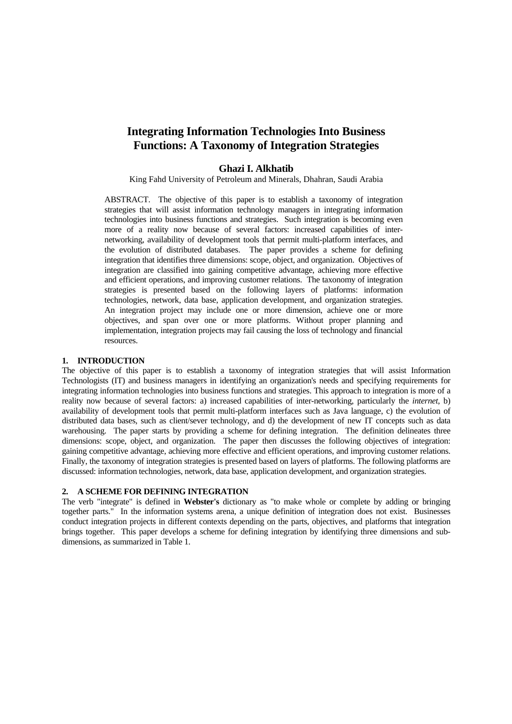# **Integrating Information Technologies Into Business Functions: A Taxonomy of Integration Strategies**

# **Ghazi I. Alkhatib**

King Fahd University of Petroleum and Minerals, Dhahran, Saudi Arabia

ABSTRACT. The objective of this paper is to establish a taxonomy of integration strategies that will assist information technology managers in integrating information technologies into business functions and strategies. Such integration is becoming even more of a reality now because of several factors: increased capabilities of internetworking, availability of development tools that permit multi-platform interfaces, and the evolution of distributed databases. The paper provides a scheme for defining integration that identifies three dimensions: scope, object, and organization. Objectives of integration are classified into gaining competitive advantage, achieving more effective and efficient operations, and improving customer relations. The taxonomy of integration strategies is presented based on the following layers of platforms: information technologies, network, data base, application development, and organization strategies. An integration project may include one or more dimension, achieve one or more objectives, and span over one or more platforms. Without proper planning and implementation, integration projects may fail causing the loss of technology and financial resources.

#### **1. INTRODUCTION**

The objective of this paper is to establish a taxonomy of integration strategies that will assist Information Technologists (IT) and business managers in identifying an organization's needs and specifying requirements for integrating information technologies into business functions and strategies. This approach to integration is more of a reality now because of several factors: a) increased capabilities of inter-networking, particularly the *internet*, b) availability of development tools that permit multi-platform interfaces such as Java language, c) the evolution of distributed data bases, such as client/sever technology, and d) the development of new IT concepts such as data warehousing. The paper starts by providing a scheme for defining integration. The definition delineates three dimensions: scope, object, and organization. The paper then discusses the following objectives of integration: gaining competitive advantage, achieving more effective and efficient operations, and improving customer relations. Finally, the taxonomy of integration strategies is presented based on layers of platforms. The following platforms are discussed: information technologies, network, data base, application development, and organization strategies.

#### **2. A SCHEME FOR DEFINING INTEGRATION**

The verb "integrate" is defined in **Webster's** dictionary as "to make whole or complete by adding or bringing together parts." In the information systems arena, a unique definition of integration does not exist. Businesses conduct integration projects in different contexts depending on the parts, objectives, and platforms that integration brings together. This paper develops a scheme for defining integration by identifying three dimensions and subdimensions, as summarized in Table 1.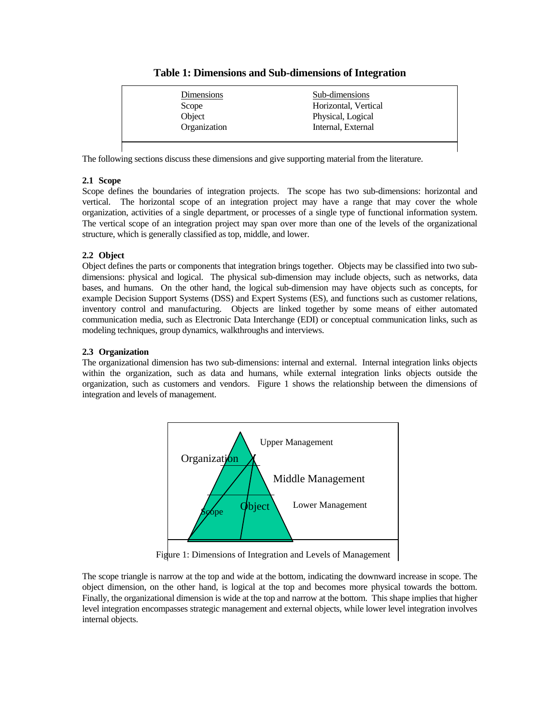# **Table 1: Dimensions and Sub-dimensions of Integration**

| Dimensions   | Sub-dimensions       |
|--------------|----------------------|
| Scope        | Horizontal, Vertical |
| Object       | Physical, Logical    |
| Organization | Internal, External   |

The following sections discuss these dimensions and give supporting material from the literature.

### **2.1 Scope**

Scope defines the boundaries of integration projects. The scope has two sub-dimensions: horizontal and vertical. The horizontal scope of an integration project may have a range that may cover the whole organization, activities of a single department, or processes of a single type of functional information system. The vertical scope of an integration project may span over more than one of the levels of the organizational structure, which is generally classified as top, middle, and lower.

# **2.2 Object**

Object defines the parts or components that integration brings together. Objects may be classified into two subdimensions: physical and logical. The physical sub-dimension may include objects, such as networks, data bases, and humans. On the other hand, the logical sub-dimension may have objects such as concepts, for example Decision Support Systems (DSS) and Expert Systems (ES), and functions such as customer relations, inventory control and manufacturing. Objects are linked together by some means of either automated communication media, such as Electronic Data Interchange (EDI) or conceptual communication links, such as modeling techniques, group dynamics, walkthroughs and interviews.

# **2.3 Organization**

The organizational dimension has two sub-dimensions: internal and external. Internal integration links objects within the organization, such as data and humans, while external integration links objects outside the organization, such as customers and vendors. Figure 1 shows the relationship between the dimensions of integration and levels of management.



Figure 1: Dimensions of Integration and Levels of Management

The scope triangle is narrow at the top and wide at the bottom, indicating the downward increase in scope. The object dimension, on the other hand, is logical at the top and becomes more physical towards the bottom. Finally, the organizational dimension is wide at the top and narrow at the bottom. This shape implies that higher level integration encompasses strategic management and external objects, while lower level integration involves internal objects.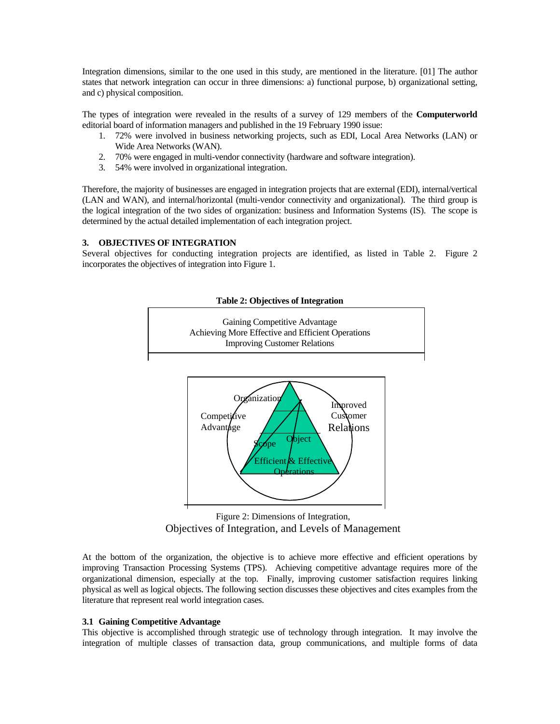Integration dimensions, similar to the one used in this study, are mentioned in the literature. [01] The author states that network integration can occur in three dimensions: a) functional purpose, b) organizational setting, and c) physical composition.

The types of integration were revealed in the results of a survey of 129 members of the **Computerworld** editorial board of information managers and published in the 19 February 1990 issue:

- 1. 72% were involved in business networking projects, such as EDI, Local Area Networks (LAN) or Wide Area Networks (WAN).
- 2. 70% were engaged in multi-vendor connectivity (hardware and software integration).
- 3. 54% were involved in organizational integration.

Therefore, the majority of businesses are engaged in integration projects that are external (EDI), internal/vertical (LAN and WAN), and internal/horizontal (multi-vendor connectivity and organizational). The third group is the logical integration of the two sides of organization: business and Information Systems (IS). The scope is determined by the actual detailed implementation of each integration project.

### **3. OBJECTIVES OF INTEGRATION**

Several objectives for conducting integration projects are identified, as listed in Table 2. Figure 2 incorporates the objectives of integration into Figure 1.



Figure 2: Dimensions of Integration, Objectives of Integration, and Levels of Management

At the bottom of the organization, the objective is to achieve more effective and efficient operations by improving Transaction Processing Systems (TPS). Achieving competitive advantage requires more of the organizational dimension, especially at the top. Finally, improving customer satisfaction requires linking physical as well as logical objects. The following section discusses these objectives and cites examples from the literature that represent real world integration cases.

#### **3.1 Gaining Competitive Advantage**

This objective is accomplished through strategic use of technology through integration. It may involve the integration of multiple classes of transaction data, group communications, and multiple forms of data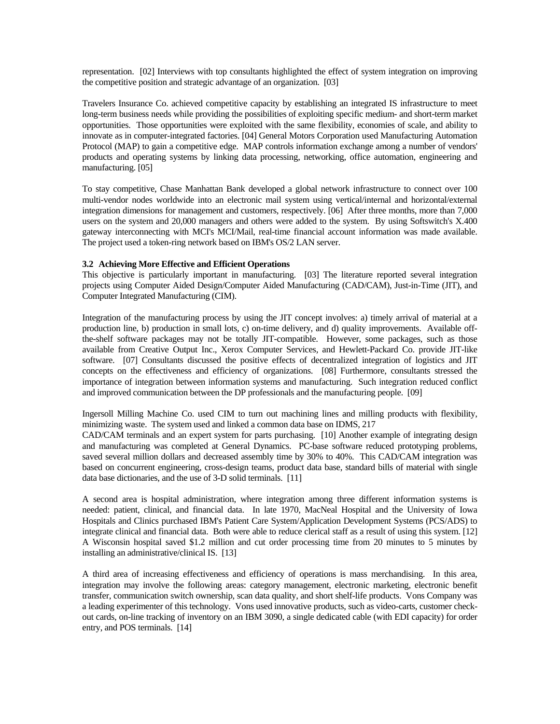representation. [02] Interviews with top consultants highlighted the effect of system integration on improving the competitive position and strategic advantage of an organization. [03]

Travelers Insurance Co. achieved competitive capacity by establishing an integrated IS infrastructure to meet long-term business needs while providing the possibilities of exploiting specific medium- and short-term market opportunities. Those opportunities were exploited with the same flexibility, economies of scale, and ability to innovate as in computer-integrated factories. [04] General Motors Corporation used Manufacturing Automation Protocol (MAP) to gain a competitive edge. MAP controls information exchange among a number of vendors' products and operating systems by linking data processing, networking, office automation, engineering and manufacturing. [05]

To stay competitive, Chase Manhattan Bank developed a global network infrastructure to connect over 100 multi-vendor nodes worldwide into an electronic mail system using vertical/internal and horizontal/external integration dimensions for management and customers, respectively. [06] After three months, more than 7,000 users on the system and 20,000 managers and others were added to the system. By using Softswitch's X.400 gateway interconnecting with MCI's MCI/Mail, real-time financial account information was made available. The project used a token-ring network based on IBM's OS/2 LAN server.

#### **3.2 Achieving More Effective and Efficient Operations**

This objective is particularly important in manufacturing. [03] The literature reported several integration projects using Computer Aided Design/Computer Aided Manufacturing (CAD/CAM), Just-in-Time (JIT), and Computer Integrated Manufacturing (CIM).

Integration of the manufacturing process by using the JIT concept involves: a) timely arrival of material at a production line, b) production in small lots, c) on-time delivery, and d) quality improvements. Available offthe-shelf software packages may not be totally JIT-compatible. However, some packages, such as those available from Creative Output Inc., Xerox Computer Services, and Hewlett-Packard Co. provide JIT-like software. [07] Consultants discussed the positive effects of decentralized integration of logistics and JIT concepts on the effectiveness and efficiency of organizations. [08] Furthermore, consultants stressed the importance of integration between information systems and manufacturing. Such integration reduced conflict and improved communication between the DP professionals and the manufacturing people. [09]

Ingersoll Milling Machine Co. used CIM to turn out machining lines and milling products with flexibility, minimizing waste. The system used and linked a common data base on IDMS, 217

CAD/CAM terminals and an expert system for parts purchasing. [10] Another example of integrating design and manufacturing was completed at General Dynamics. PC-base software reduced prototyping problems, saved several million dollars and decreased assembly time by 30% to 40%. This CAD/CAM integration was based on concurrent engineering, cross-design teams, product data base, standard bills of material with single data base dictionaries, and the use of 3-D solid terminals. [11]

A second area is hospital administration, where integration among three different information systems is needed: patient, clinical, and financial data. In late 1970, MacNeal Hospital and the University of Iowa Hospitals and Clinics purchased IBM's Patient Care System/Application Development Systems (PCS/ADS) to integrate clinical and financial data. Both were able to reduce clerical staff as a result of using this system. [12] A Wisconsin hospital saved \$1.2 million and cut order processing time from 20 minutes to 5 minutes by installing an administrative/clinical IS. [13]

A third area of increasing effectiveness and efficiency of operations is mass merchandising. In this area, integration may involve the following areas: category management, electronic marketing, electronic benefit transfer, communication switch ownership, scan data quality, and short shelf-life products. Vons Company was a leading experimenter of this technology. Vons used innovative products, such as video-carts, customer checkout cards, on-line tracking of inventory on an IBM 3090, a single dedicated cable (with EDI capacity) for order entry, and POS terminals. [14]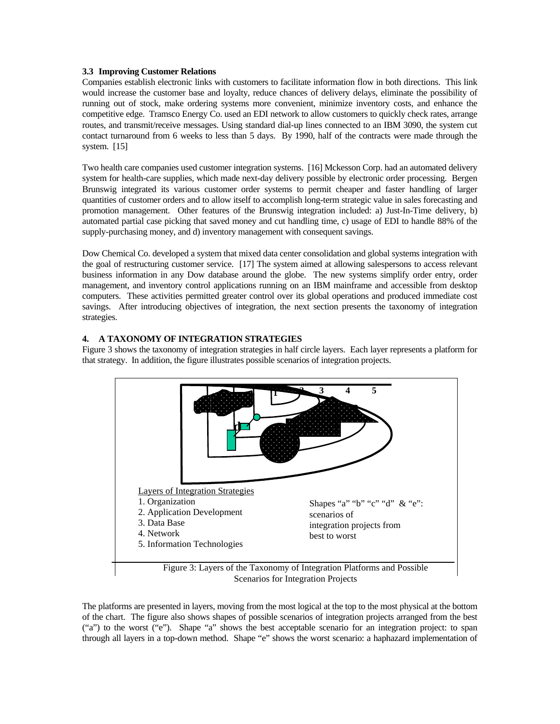#### **3.3 Improving Customer Relations**

Companies establish electronic links with customers to facilitate information flow in both directions. This link would increase the customer base and loyalty, reduce chances of delivery delays, eliminate the possibility of running out of stock, make ordering systems more convenient, minimize inventory costs, and enhance the competitive edge. Tramsco Energy Co. used an EDI network to allow customers to quickly check rates, arrange routes, and transmit/receive messages. Using standard dial-up lines connected to an IBM 3090, the system cut contact turnaround from 6 weeks to less than 5 days. By 1990, half of the contracts were made through the system. [15]

Two health care companies used customer integration systems. [16] Mckesson Corp. had an automated delivery system for health-care supplies, which made next-day delivery possible by electronic order processing. Bergen Brunswig integrated its various customer order systems to permit cheaper and faster handling of larger quantities of customer orders and to allow itself to accomplish long-term strategic value in sales forecasting and promotion management. Other features of the Brunswig integration included: a) Just-In-Time delivery, b) automated partial case picking that saved money and cut handling time, c) usage of EDI to handle 88% of the supply-purchasing money, and d) inventory management with consequent savings.

Dow Chemical Co. developed a system that mixed data center consolidation and global systems integration with the goal of restructuring customer service. [17] The system aimed at allowing salespersons to access relevant business information in any Dow database around the globe. The new systems simplify order entry, order management, and inventory control applications running on an IBM mainframe and accessible from desktop computers. These activities permitted greater control over its global operations and produced immediate cost savings. After introducing objectives of integration, the next section presents the taxonomy of integration strategies.

### **4. A TAXONOMY OF INTEGRATION STRATEGIES**

Figure 3 shows the taxonomy of integration strategies in half circle layers. Each layer represents a platform for that strategy. In addition, the figure illustrates possible scenarios of integration projects.



The platforms are presented in layers, moving from the most logical at the top to the most physical at the bottom of the chart. The figure also shows shapes of possible scenarios of integration projects arranged from the best ("a") to the worst ("e"). Shape "a" shows the best acceptable scenario for an integration project: to span through all layers in a top-down method. Shape "e" shows the worst scenario: a haphazard implementation of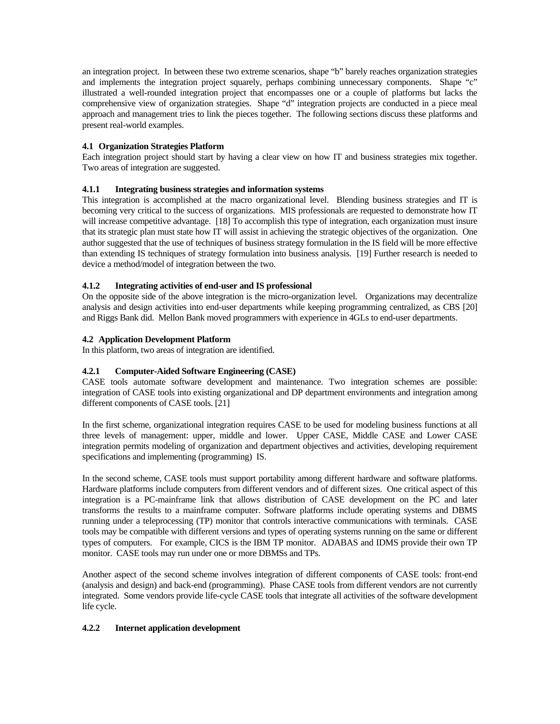an integration project. In between these two extreme scenarios, shape "b" barely reaches organization strategies and implements the integration project squarely, perhaps combining unnecessary components. Shape "c" illustrated a well-rounded integration project that encompasses one or a couple of platforms but lacks the comprehensive view of organization strategies. Shape "d" integration projects are conducted in a piece meal approach and management tries to link the pieces together. The following sections discuss these platforms and present real-world examples.

### **4.1 Organization Strategies Platform**

Each integration project should start by having a clear view on how IT and business strategies mix together. Two areas of integration are suggested.

# **4.1.1 Integrating business strategies and information systems**

This integration is accomplished at the macro organizational level. Blending business strategies and IT is becoming very critical to the success of organizations. MIS professionals are requested to demonstrate how IT will increase competitive advantage. [18] To accomplish this type of integration, each organization must insure that its strategic plan must state how IT will assist in achieving the strategic objectives of the organization. One author suggested that the use of techniques of business strategy formulation in the IS field will be more effective than extending IS techniques of strategy formulation into business analysis. [19] Further research is needed to device a method/model of integration between the two.

# **4.1.2 Integrating activities of end-user and IS professional**

On the opposite side of the above integration is the micro-organization level. Organizations may decentralize analysis and design activities into end-user departments while keeping programming centralized, as CBS [20] and Riggs Bank did. Mellon Bank moved programmers with experience in 4GLs to end-user departments.

# **4.2 Application Development Platform**

In this platform, two areas of integration are identified.

# **4.2.1 Computer-Aided Software Engineering (CASE)**

CASE tools automate software development and maintenance. Two integration schemes are possible: integration of CASE tools into existing organizational and DP department environments and integration among different components of CASE tools. [21]

In the first scheme, organizational integration requires CASE to be used for modeling business functions at all three levels of management: upper, middle and lower. Upper CASE, Middle CASE and Lower CASE integration permits modeling of organization and department objectives and activities, developing requirement specifications and implementing (programming) IS.

In the second scheme, CASE tools must support portability among different hardware and software platforms. Hardware platforms include computers from different vendors and of different sizes. One critical aspect of this integration is a PC-mainframe link that allows distribution of CASE development on the PC and later transforms the results to a mainframe computer. Software platforms include operating systems and DBMS running under a teleprocessing (TP) monitor that controls interactive communications with terminals. CASE tools may be compatible with different versions and types of operating systems running on the same or different types of computers. For example, CICS is the IBM TP monitor. ADABAS and IDMS provide their own TP monitor. CASE tools may run under one or more DBMSs and TPs.

Another aspect of the second scheme involves integration of different components of CASE tools: front-end (analysis and design) and back-end (programming). Phase CASE tools from different vendors are not currently integrated. Some vendors provide life-cycle CASE tools that integrate all activities of the software development life cycle.

### **4.2.2 Internet application development**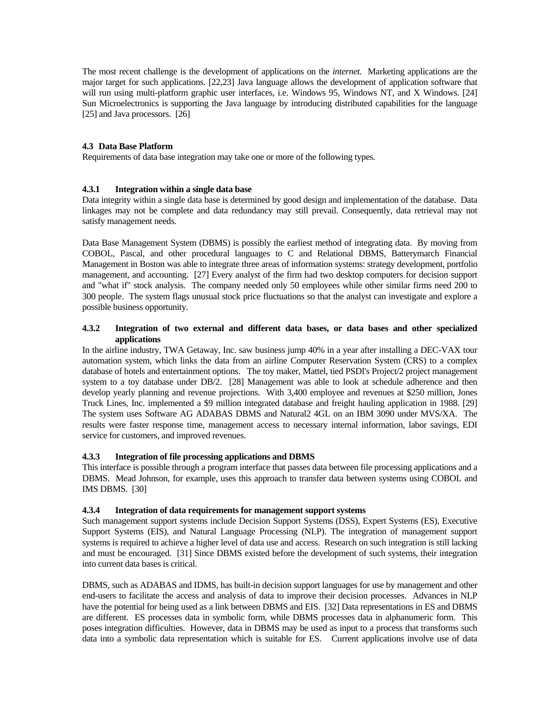The most recent challenge is the development of applications on the *internet.* Marketing applications are the major target for such applications. [22,23] Java language allows the development of application software that will run using multi-platform graphic user interfaces, i.e. Windows 95, Windows NT, and X Windows. [24] Sun Microelectronics is supporting the Java language by introducing distributed capabilities for the language [25] and Java processors. [26]

#### **4.3 Data Base Platform**

Requirements of data base integration may take one or more of the following types.

#### **4.3.1 Integration within a single data base**

Data integrity within a single data base is determined by good design and implementation of the database. Data linkages may not be complete and data redundancy may still prevail. Consequently, data retrieval may not satisfy management needs.

Data Base Management System (DBMS) is possibly the earliest method of integrating data. By moving from COBOL, Pascal, and other procedural languages to C and Relational DBMS, Batterymarch Financial Management in Boston was able to integrate three areas of information systems: strategy development, portfolio management, and accounting. [27] Every analyst of the firm had two desktop computers for decision support and "what if" stock analysis. The company needed only 50 employees while other similar firms need 200 to 300 people. The system flags unusual stock price fluctuations so that the analyst can investigate and explore a possible business opportunity.

#### **4.3.2 Integration of two external and different data bases, or data bases and other specialized applications**

In the airline industry, TWA Getaway, Inc. saw business jump 40% in a year after installing a DEC-VAX tour automation system, which links the data from an airline Computer Reservation System (CRS) to a complex database of hotels and entertainment options. The toy maker, Mattel, tied PSDI's Project/2 project management system to a toy database under DB/2. [28] Management was able to look at schedule adherence and then develop yearly planning and revenue projections. With 3,400 employee and revenues at \$250 million, Jones Truck Lines, Inc. implemented a \$9 million integrated database and freight hauling application in 1988. [29] The system uses Software AG ADABAS DBMS and Natural2 4GL on an IBM 3090 under MVS/XA. The results were faster response time, management access to necessary internal information, labor savings, EDI service for customers, and improved revenues.

#### **4.3.3 Integration of file processing applications and DBMS**

This interface is possible through a program interface that passes data between file processing applications and a DBMS. Mead Johnson, for example, uses this approach to transfer data between systems using COBOL and IMS DBMS. [30]

#### **4.3.4 Integration of data requirements for management support systems**

Such management support systems include Decision Support Systems (DSS), Expert Systems (ES), Executive Support Systems (EIS), and Natural Language Processing (NLP). The integration of management support systems is required to achieve a higher level of data use and access. Research on such integration is still lacking and must be encouraged. [31] Since DBMS existed before the development of such systems, their integration into current data bases is critical.

DBMS, such as ADABAS and IDMS, has built-in decision support languages for use by management and other end-users to facilitate the access and analysis of data to improve their decision processes. Advances in NLP have the potential for being used as a link between DBMS and EIS. [32] Data representations in ES and DBMS are different. ES processes data in symbolic form, while DBMS processes data in alphanumeric form. This poses integration difficulties. However, data in DBMS may be used as input to a process that transforms such data into a symbolic data representation which is suitable for ES. Current applications involve use of data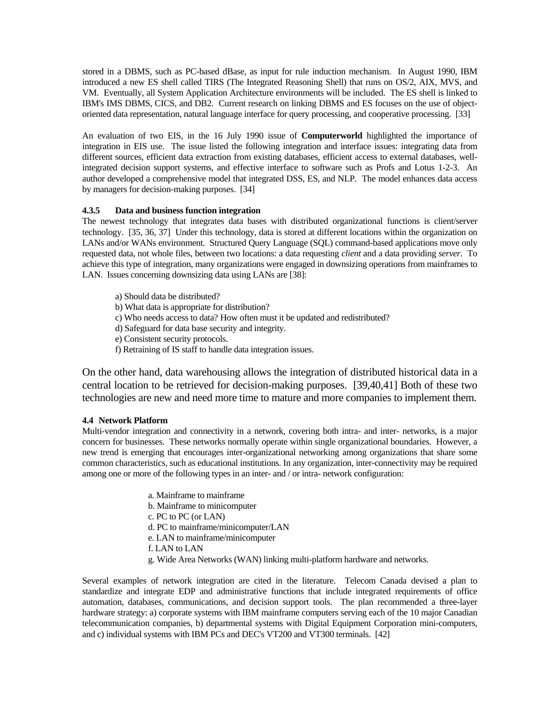stored in a DBMS, such as PC-based dBase, as input for rule induction mechanism. In August 1990, IBM introduced a new ES shell called TIRS (The Integrated Reasoning Shell) that runs on OS/2, AIX, MVS, and VM. Eventually, all System Application Architecture environments will be included. The ES shell is linked to IBM's IMS DBMS, CICS, and DB2. Current research on linking DBMS and ES focuses on the use of objectoriented data representation, natural language interface for query processing, and cooperative processing. [33]

An evaluation of two EIS, in the 16 July 1990 issue of **Computerworld** highlighted the importance of integration in EIS use. The issue listed the following integration and interface issues: integrating data from different sources, efficient data extraction from existing databases, efficient access to external databases, wellintegrated decision support systems, and effective interface to software such as Profs and Lotus 1-2-3. An author developed a comprehensive model that integrated DSS, ES, and NLP. The model enhances data access by managers for decision-making purposes. [34]

#### **4.3.5 Data and business function integration**

The newest technology that integrates data bases with distributed organizational functions is client/server technology. [35, 36, 37] Under this technology, data is stored at different locations within the organization on LANs and/or WANs environment. Structured Query Language (SQL) command-based applications move only requested data, not whole files, between two locations: a data requesting *client* and a data providing *server.* To achieve this type of integration, many organizations were engaged in downsizing operations from mainframes to LAN. Issues concerning downsizing data using LANs are [38]:

- a) Should data be distributed?
- b) What data is appropriate for distribution?
- c) Who needs access to data? How often must it be updated and redistributed?
- d) Safeguard for data base security and integrity.
- e) Consistent security protocols.
- f) Retraining of IS staff to handle data integration issues.

On the other hand, data warehousing allows the integration of distributed historical data in a central location to be retrieved for decision-making purposes. [39,40,41] Both of these two technologies are new and need more time to mature and more companies to implement them.

#### **4.4 Network Platform**

Multi-vendor integration and connectivity in a network, covering both intra- and inter- networks, is a major concern for businesses. These networks normally operate within single organizational boundaries. However, a new trend is emerging that encourages inter-organizational networking among organizations that share some common characteristics, such as educational institutions. In any organization, inter-connectivity may be required among one or more of the following types in an inter- and / or intra- network configuration:

- a. Mainframe to mainframe
- b. Mainframe to minicomputer
- c. PC to PC (or LAN)
- d. PC to mainframe/minicomputer/LAN
- e. LAN to mainframe/minicomputer
- f. LAN to LAN
- g. Wide Area Networks (WAN) linking multi-platform hardware and networks.

Several examples of network integration are cited in the literature. Telecom Canada devised a plan to standardize and integrate EDP and administrative functions that include integrated requirements of office automation, databases, communications, and decision support tools. The plan recommended a three-layer hardware strategy: a) corporate systems with IBM mainframe computers serving each of the 10 major Canadian telecommunication companies, b) departmental systems with Digital Equipment Corporation mini-computers, and c) individual systems with IBM PCs and DEC's VT200 and VT300 terminals. [42]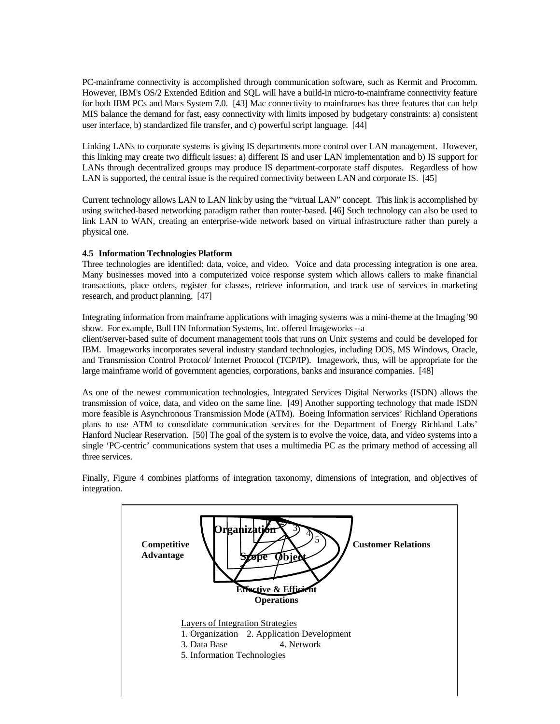PC-mainframe connectivity is accomplished through communication software, such as Kermit and Procomm. However, IBM's OS/2 Extended Edition and SQL will have a build-in micro-to-mainframe connectivity feature for both IBM PCs and Macs System 7.0. [43] Mac connectivity to mainframes has three features that can help MIS balance the demand for fast, easy connectivity with limits imposed by budgetary constraints: a) consistent user interface, b) standardized file transfer, and c) powerful script language. [44]

Linking LANs to corporate systems is giving IS departments more control over LAN management. However, this linking may create two difficult issues: a) different IS and user LAN implementation and b) IS support for LANs through decentralized groups may produce IS department-corporate staff disputes. Regardless of how LAN is supported, the central issue is the required connectivity between LAN and corporate IS. [45]

Current technology allows LAN to LAN link by using the "virtual LAN" concept. This link is accomplished by using switched-based networking paradigm rather than router-based. [46] Such technology can also be used to link LAN to WAN, creating an enterprise-wide network based on virtual infrastructure rather than purely a physical one.

### **4.5 Information Technologies Platform**

Three technologies are identified: data, voice, and video. Voice and data processing integration is one area. Many businesses moved into a computerized voice response system which allows callers to make financial transactions, place orders, register for classes, retrieve information, and track use of services in marketing research, and product planning. [47]

Integrating information from mainframe applications with imaging systems was a mini-theme at the Imaging '90 show. For example, Bull HN Information Systems, Inc. offered Imageworks --a

client/server-based suite of document management tools that runs on Unix systems and could be developed for IBM. Imageworks incorporates several industry standard technologies, including DOS, MS Windows, Oracle, and Transmission Control Protocol/ Internet Protocol (TCP/IP). Imagework, thus, will be appropriate for the large mainframe world of government agencies, corporations, banks and insurance companies. [48]

As one of the newest communication technologies, Integrated Services Digital Networks (ISDN) allows the transmission of voice, data, and video on the same line. [49] Another supporting technology that made ISDN more feasible is Asynchronous Transmission Mode (ATM). Boeing Information services' Richland Operations plans to use ATM to consolidate communication services for the Department of Energy Richland Labs' Hanford Nuclear Reservation. [50] The goal of the system is to evolve the voice, data, and video systems into a single 'PC-centric' communications system that uses a multimedia PC as the primary method of accessing all three services.

Finally, Figure 4 combines platforms of integration taxonomy, dimensions of integration, and objectives of integration.

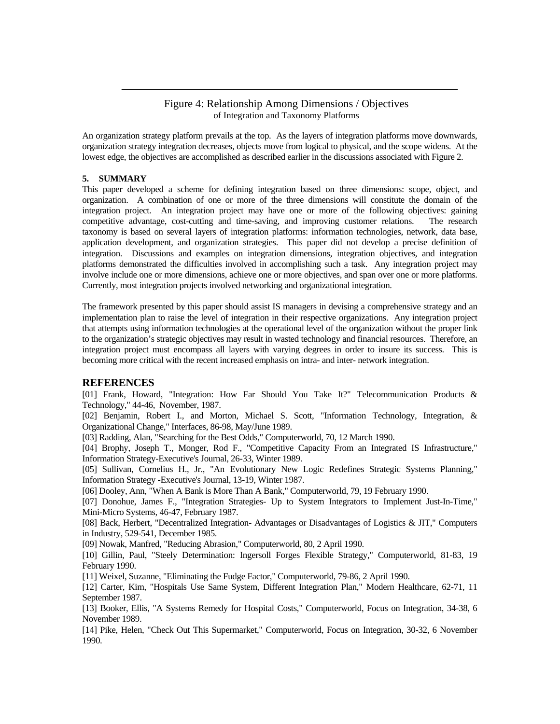### Figure 4: Relationship Among Dimensions / Objectives of Integration and Taxonomy Platforms

An organization strategy platform prevails at the top. As the layers of integration platforms move downwards, organization strategy integration decreases, objects move from logical to physical, and the scope widens. At the lowest edge, the objectives are accomplished as described earlier in the discussions associated with Figure 2.

#### **5. SUMMARY**

This paper developed a scheme for defining integration based on three dimensions: scope, object, and organization. A combination of one or more of the three dimensions will constitute the domain of the integration project. An integration project may have one or more of the following objectives: gaining competitive advantage, cost-cutting and time-saving, and improving customer relations. The research taxonomy is based on several layers of integration platforms: information technologies, network, data base, application development, and organization strategies. This paper did not develop a precise definition of integration. Discussions and examples on integration dimensions, integration objectives, and integration platforms demonstrated the difficulties involved in accomplishing such a task. Any integration project may involve include one or more dimensions, achieve one or more objectives, and span over one or more platforms. Currently, most integration projects involved networking and organizational integration.

The framework presented by this paper should assist IS managers in devising a comprehensive strategy and an implementation plan to raise the level of integration in their respective organizations. Any integration project that attempts using information technologies at the operational level of the organization without the proper link to the organization's strategic objectives may result in wasted technology and financial resources. Therefore, an integration project must encompass all layers with varying degrees in order to insure its success. This is becoming more critical with the recent increased emphasis on intra- and inter- network integration.

#### **REFERENCES**

[01] Frank, Howard, "Integration: How Far Should You Take It?" Telecommunication Products & Technology," 44-46, November, 1987.

[02] Benjamin, Robert I., and Morton, Michael S. Scott, "Information Technology, Integration, & Organizational Change," Interfaces, 86-98, May/June 1989.

[03] Radding, Alan, "Searching for the Best Odds," Computerworld, 70, 12 March 1990.

[04] Brophy, Joseph T., Monger, Rod F., "Competitive Capacity From an Integrated IS Infrastructure," Information Strategy-Executive's Journal, 26-33, Winter 1989.

[05] Sullivan, Cornelius H., Jr., "An Evolutionary New Logic Redefines Strategic Systems Planning," Information Strategy -Executive's Journal, 13-19, Winter 1987.

[06] Dooley, Ann, "When A Bank is More Than A Bank," Computerworld, 79, 19 February 1990.

[07] Donohue, James F., "Integration Strategies- Up to System Integrators to Implement Just-In-Time," Mini-Micro Systems, 46-47, February 1987.

[08] Back, Herbert, "Decentralized Integration- Advantages or Disadvantages of Logistics & JIT," Computers in Industry, 529-541, December 1985.

[09] Nowak, Manfred, "Reducing Abrasion," Computerworld, 80, 2 April 1990.

[10] Gillin, Paul, "Steely Determination: Ingersoll Forges Flexible Strategy," Computerworld, 81-83, 19 February 1990.

[11] Weixel, Suzanne, "Eliminating the Fudge Factor," Computerworld, 79-86, 2 April 1990.

[12] Carter, Kim, "Hospitals Use Same System, Different Integration Plan," Modern Healthcare, 62-71, 11 September 1987.

[13] Booker, Ellis, "A Systems Remedy for Hospital Costs," Computerworld, Focus on Integration, 34-38, 6 November 1989.

[14] Pike, Helen, "Check Out This Supermarket," Computerworld, Focus on Integration, 30-32, 6 November 1990.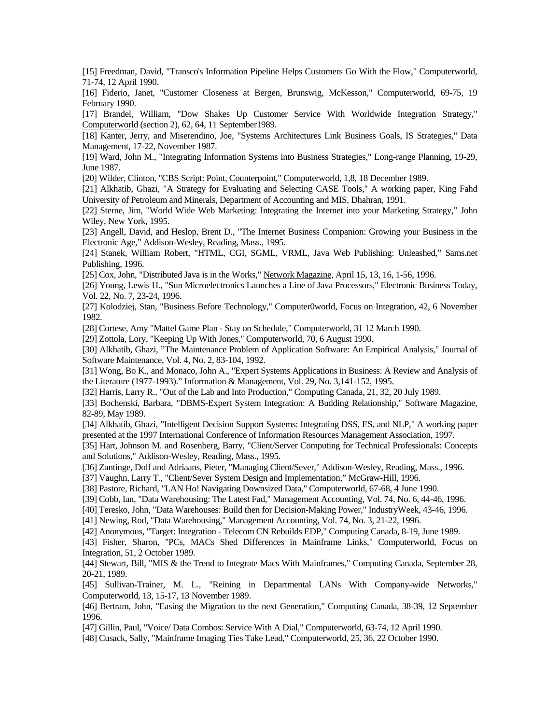[15] Freedman, David, "Transco's Information Pipeline Helps Customers Go With the Flow," Computerworld, 71-74, 12 April 1990.

[16] Fiderio, Janet, "Customer Closeness at Bergen, Brunswig, McKesson," Computerworld, 69-75, 19 February 1990.

[17] Brandel, William, "Dow Shakes Up Customer Service With Worldwide Integration Strategy," Computerworld (section 2), 62, 64, 11 September1989.

[18] Kanter, Jerry, and Miserendino, Joe, "Systems Architectures Link Business Goals, IS Strategies," Data Management, 17-22, November 1987.

[19] Ward, John M., "Integrating Information Systems into Business Strategies," Long-range Planning, 19-29, June 1987.

[20] Wilder, Clinton, "CBS Script: Point, Counterpoint," Computerworld, 1,8, 18 December 1989.

[21] Alkhatib, Ghazi, "A Strategy for Evaluating and Selecting CASE Tools," A working paper, King Fahd University of Petroleum and Minerals, Department of Accounting and MIS, Dhahran, 1991.

[22] Sterne, Jim, "World Wide Web Marketing: Integrating the Internet into your Marketing Strategy," John Wiley, New York, 1995.

[23] Angell, David, and Heslop, Brent D., "The Internet Business Companion: Growing your Business in the Electronic Age," Addison-Wesley, Reading, Mass., 1995.

[24] Stanek, William Robert, "HTML, CGI, SGML, VRML, Java Web Publishing: Unleashed," Sams.net Publishing, 1996.

[25] Cox, John, "Distributed Java is in the Works," Network Magazine, April 15, 13, 16, 1-56, 1996.

[26] Young, Lewis H., "Sun Microelectronics Launches a Line of Java Processors," Electronic Business Today, Vol. 22, No. 7, 23-24, 1996.

[27] Kolodziej, Stan, "Business Before Technology," Computer0world, Focus on Integration, 42, 6 November 1982.

[28] Cortese, Amy "Mattel Game Plan - Stay on Schedule," Computerworld, 31 12 March 1990.

[29] Zottola, Lory, "Keeping Up With Jones," Computerworld, 70, 6 August 1990.

[30] Alkhatib, Ghazi, "The Maintenance Problem of Application Software: An Empirical Analysis," Journal of Software Maintenance, Vol. 4, No. 2, 83-104, 1992.

[31] Wong, Bo K., and Monaco, John A., "Expert Systems Applications in Business: A Review and Analysis of the Literature (1977-1993)." Information & Management, Vol. 29, No. 3,141-152, 1995.

[32] Harris, Larry R., "Out of the Lab and Into Production," Computing Canada, 21, 32, 20 July 1989.

[33] Bochenski, Barbara, "DBMS-Expert System Integration: A Budding Relationship," Software Magazine, 82-89, May 1989.

[34] Alkhatib, Ghazi, "Intelligent Decision Support Systems: Integrating DSS, ES, and NLP," A working paper presented at the 1997 International Conference of Information Resources Management Association, 1997.

[35] Hart, Johnson M. and Rosenberg, Barry, "Client/Server Computing for Technical Professionals: Concepts and Solutions," Addison-Wesley, Reading, Mass., 1995.

[36] Zantinge, Dolf and Adriaans, Pieter, "Managing Client/Sever," Addison-Wesley, Reading, Mass., 1996.

[37] Vaughn, Larry T., "Client/Sever System Design and Implementation," McGraw-Hill, 1996.

[38] Pastore, Richard, "LAN Ho! Navigating Downsized Data," Computerworld, 67-68, 4 June 1990.

[39] Cobb, Ian, "Data Warehousing: The Latest Fad," Management Accounting, Vol. 74, No. 6, 44-46, 1996.

[40] Teresko, John, "Data Warehouses: Build then for Decision-Making Power," IndustryWeek, 43-46, 1996.

[41] Newing, Rod, "Data Warehousing," Management Accounting, Vol. 74, No. 3, 21-22, 1996.

[42] Anonymous, "Target: Integration - Telecom CN Rebuilds EDP," Computing Canada, 8-19, June 1989.

[43] Fisher, Sharon, "PCs, MACs Shed Differences in Mainframe Links," Computerworld, Focus on Integration, 51, 2 October 1989.

[44] Stewart, Bill, "MIS & the Trend to Integrate Macs With Mainframes," Computing Canada, September 28, 20-21, 1989.

[45] Sullivan-Trainer, M. L., "Reining in Departmental LANs With Company-wide Networks," Computerworld, 13, 15-17, 13 November 1989.

[46] Bertram, John, "Easing the Migration to the next Generation," Computing Canada, 38-39, 12 September 1996.

[47] Gillin, Paul, "Voice/ Data Combos: Service With A Dial," Computerworld, 63-74, 12 April 1990.

[48] Cusack, Sally, "Mainframe Imaging Ties Take Lead," Computerworld, 25, 36, 22 October 1990.